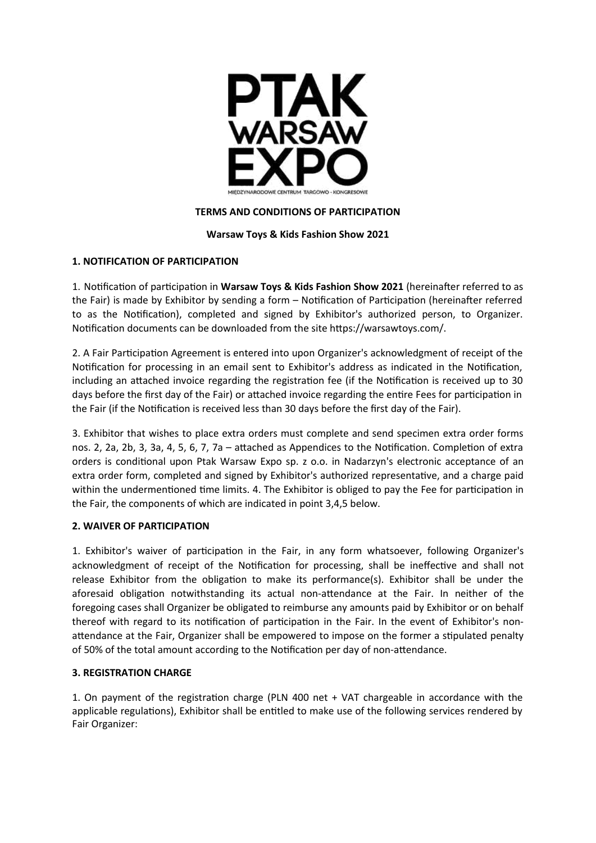

# **TERMS AND CONDITIONS OF PARTICIPATION**

**Warsaw Toys & Kids Fashion Show 2021**

# **1. NOTIFICATION OF PARTICIPATION**

1. Notification of participation in **Warsaw Toys & Kids Fashion Show 2021** (hereinafter referred to as the Fair) is made by Exhibitor by sending a form – Notification of Participation (hereinafter referred to as the Notification), completed and signed by Exhibitor's authorized person, to Organizer. Notification documents can be downloaded from the site https://warsawtoys.com/.

2. A Fair Participation Agreement is entered into upon Organizer's acknowledgment of receipt of the Notification for processing in an email sent to Exhibitor's address as indicated in the Notification, including an attached invoice regarding the registration fee (if the Notification is received up to 30 days before the first day of the Fair) or attached invoice regarding the entire Fees for participation in the Fair (if the Notification is received less than 30 days before the first day of the Fair).

3. Exhibitor that wishes to place extra orders must complete and send specimen extra order forms nos. 2, 2a, 2b, 3, 3a, 4, 5, 6, 7, 7a – attached as Appendices to the Notification. Completion of extra orders is conditional upon Ptak Warsaw Expo sp. z o.o. in Nadarzyn's electronic acceptance of an extra order form, completed and signed by Exhibitor's authorized representative, and a charge paid within the undermentioned time limits. 4. The Exhibitor is obliged to pay the Fee for participation in the Fair, the components of which are indicated in point 3,4,5 below.

### **2. WAIVER OF PARTICIPATION**

1. Exhibitor's waiver of participation in the Fair, in any form whatsoever, following Organizer's acknowledgment of receipt of the Notification for processing, shall be ineffective and shall not release Exhibitor from the obligation to make its performance(s). Exhibitor shall be under the aforesaid obligation notwithstanding its actual non-attendance at the Fair. In neither of the foregoing cases shall Organizer be obligated to reimburse any amounts paid by Exhibitor or on behalf thereof with regard to its notification of participation in the Fair. In the event of Exhibitor's nonattendance at the Fair, Organizer shall be empowered to impose on the former a stipulated penalty of 50% of the total amount according to the Notification per day of non-attendance.

### **3. REGISTRATION CHARGE**

1. On payment of the registration charge (PLN 400 net + VAT chargeable in accordance with the applicable regulations), Exhibitor shall be entitled to make use of the following services rendered by Fair Organizer: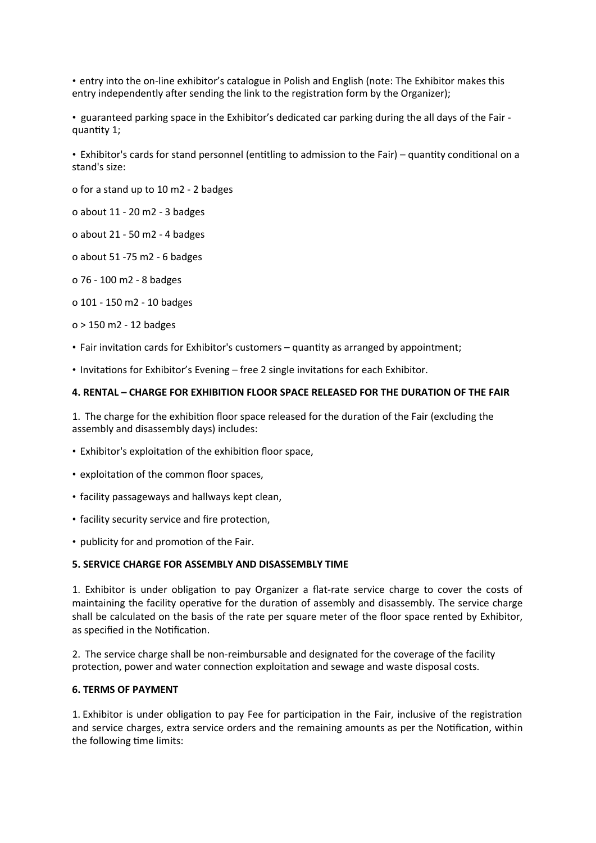• entry into the on-line exhibitor's catalogue in Polish and English (note: The Exhibitor makes this entry independently after sending the link to the registration form by the Organizer);

• guaranteed parking space in the Exhibitor's dedicated car parking during the all days of the Fair quantity 1;

• Exhibitor's cards for stand personnel (entitling to admission to the Fair) – quantity conditional on a stand's size:

o for a stand up to 10 m2 - 2 badges

o about 11 - 20 m2 - 3 badges

o about 21 - 50 m2 - 4 badges

o about 51 -75 m2 - 6 badges

o 76 - 100 m2 - 8 badges

o 101 - 150 m2 - 10 badges

o > 150 m2 - 12 badges

• Fair invitation cards for Exhibitor's customers – quantity as arranged by appointment;

• Invitations for Exhibitor's Evening – free 2 single invitations for each Exhibitor.

#### **4. RENTAL – CHARGE FOR EXHIBITION FLOOR SPACE RELEASED FOR THE DURATION OF THE FAIR**

1. The charge for the exhibition floor space released for the duration of the Fair (excluding the assembly and disassembly days) includes:

- Exhibitor's exploitation of the exhibition floor space,
- exploitation of the common floor spaces,
- facility passageways and hallways kept clean,
- facility security service and fire protection,
- publicity for and promotion of the Fair.

#### **5. SERVICE CHARGE FOR ASSEMBLY AND DISASSEMBLY TIME**

1. Exhibitor is under obligation to pay Organizer a flat-rate service charge to cover the costs of maintaining the facility operative for the duration of assembly and disassembly. The service charge shall be calculated on the basis of the rate per square meter of the floor space rented by Exhibitor, as specified in the Notification.

2. The service charge shall be non-reimbursable and designated for the coverage of the facility protection, power and water connection exploitation and sewage and waste disposal costs.

#### **6. TERMS OF PAYMENT**

1. Exhibitor is under obligation to pay Fee for participation in the Fair, inclusive of the registration and service charges, extra service orders and the remaining amounts as per the Notification, within the following time limits: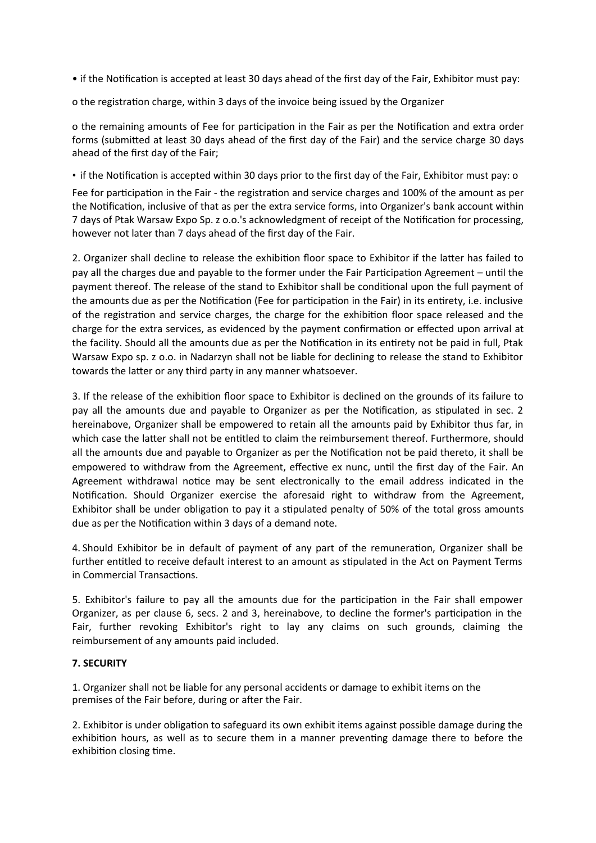• if the Notification is accepted at least 30 days ahead of the first day of the Fair, Exhibitor must pay:

o the registration charge, within 3 days of the invoice being issued by the Organizer

o the remaining amounts of Fee for participation in the Fair as per the Notification and extra order forms (submitted at least 30 days ahead of the first day of the Fair) and the service charge 30 days ahead of the first day of the Fair;

• if the Notification is accepted within 30 days prior to the first day of the Fair, Exhibitor must pay: o Fee for participation in the Fair - the registration and service charges and 100% of the amount as per the Notification, inclusive of that as per the extra service forms, into Organizer's bank account within 7 days of Ptak Warsaw Expo Sp. z o.o.'s acknowledgment of receipt of the Notification for processing, however not later than 7 days ahead of the first day of the Fair.

2. Organizer shall decline to release the exhibition floor space to Exhibitor if the latter has failed to pay all the charges due and payable to the former under the Fair Participation Agreement – until the payment thereof. The release of the stand to Exhibitor shall be conditional upon the full payment of the amounts due as per the Notification (Fee for participation in the Fair) in its entirety, i.e. inclusive of the registration and service charges, the charge for the exhibition floor space released and the charge for the extra services, as evidenced by the payment confirmation or effected upon arrival at the facility. Should all the amounts due as per the Notification in its entirety not be paid in full, Ptak Warsaw Expo sp. z o.o. in Nadarzyn shall not be liable for declining to release the stand to Exhibitor towards the latter or any third party in any manner whatsoever.

3. If the release of the exhibition floor space to Exhibitor is declined on the grounds of its failure to pay all the amounts due and payable to Organizer as per the Notification, as stipulated in sec. 2 hereinabove, Organizer shall be empowered to retain all the amounts paid by Exhibitor thus far, in which case the latter shall not be entitled to claim the reimbursement thereof. Furthermore, should all the amounts due and payable to Organizer as per the Notification not be paid thereto, it shall be empowered to withdraw from the Agreement, effective ex nunc, until the first day of the Fair. An Agreement withdrawal notice may be sent electronically to the email address indicated in the Notification. Should Organizer exercise the aforesaid right to withdraw from the Agreement, Exhibitor shall be under obligation to pay it a stipulated penalty of 50% of the total gross amounts due as per the Notification within 3 days of a demand note.

4. Should Exhibitor be in default of payment of any part of the remuneration, Organizer shall be further entitled to receive default interest to an amount as stipulated in the Act on Payment Terms in Commercial Transactions.

5. Exhibitor's failure to pay all the amounts due for the participation in the Fair shall empower Organizer, as per clause 6, secs. 2 and 3, hereinabove, to decline the former's participation in the Fair, further revoking Exhibitor's right to lay any claims on such grounds, claiming the reimbursement of any amounts paid included.

# **7. SECURITY**

1. Organizer shall not be liable for any personal accidents or damage to exhibit items on the premises of the Fair before, during or after the Fair.

2. Exhibitor is under obligation to safeguard its own exhibit items against possible damage during the exhibition hours, as well as to secure them in a manner preventing damage there to before the exhibition closing time.